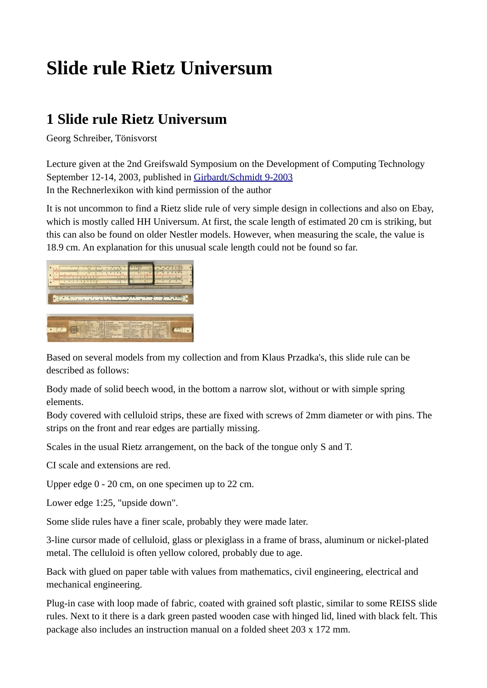## **Slide rule Rietz Universum**

## **1 Slide rule Rietz Universum**

Georg Schreiber, Tönisvorst

Lecture given at the 2nd Greifswald Symposium on the Development of Computing Technology September 12-14, 2003, published in [Girbardt/Schmidt 9-2003](http://www.rechnerlexikon.de/artikel/Girbardt/Schmidt_9-2003) In the Rechnerlexikon with kind permission of the author

It is not uncommon to find a Rietz slide rule of very simple design in collections and also on Ebay, which is mostly called HH Universum. At first, the scale length of estimated 20 cm is striking, but this can also be found on older Nestler models. However, when measuring the scale, the value is 18.9 cm. An explanation for this unusual scale length could not be found so far.



Based on several models from my collection and from Klaus Przadka's, this slide rule can be described as follows:

Body made of solid beech wood, in the bottom a narrow slot, without or with simple spring elements.

Body covered with celluloid strips, these are fixed with screws of 2mm diameter or with pins. The strips on the front and rear edges are partially missing.

Scales in the usual Rietz arrangement, on the back of the tongue only S and T.

CI scale and extensions are red.

Upper edge 0 - 20 cm, on one specimen up to 22 cm.

Lower edge 1:25, "upside down".

Some slide rules have a finer scale, probably they were made later.

3-line cursor made of celluloid, glass or plexiglass in a frame of brass, aluminum or nickel-plated metal. The celluloid is often yellow colored, probably due to age.

Back with glued on paper table with values from mathematics, civil engineering, electrical and mechanical engineering.

Plug-in case with loop made of fabric, coated with grained soft plastic, similar to some REISS slide rules. Next to it there is a dark green pasted wooden case with hinged lid, lined with black felt. This package also includes an instruction manual on a folded sheet 203 x 172 mm.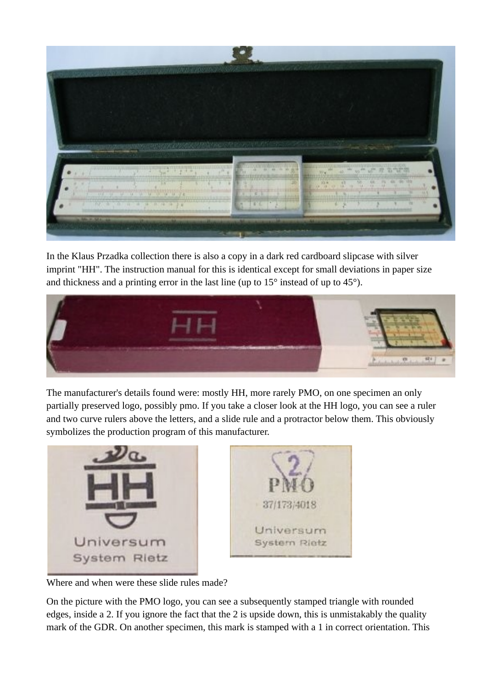

In the Klaus Przadka collection there is also a copy in a dark red cardboard slipcase with silver imprint "HH". The instruction manual for this is identical except for small deviations in paper size and thickness and a printing error in the last line (up to 15° instead of up to 45°).



The manufacturer's details found were: mostly HH, more rarely PMO, on one specimen an only partially preserved logo, possibly pmo. If you take a closer look at the HH logo, you can see a ruler and two curve rulers above the letters, and a slide rule and a protractor below them. This obviously symbolizes the production program of this manufacturer.



Where and when were these slide rules made?

On the picture with the PMO logo, you can see a subsequently stamped triangle with rounded edges, inside a 2. If you ignore the fact that the 2 is upside down, this is unmistakably the quality mark of the GDR. On another specimen, this mark is stamped with a 1 in correct orientation. This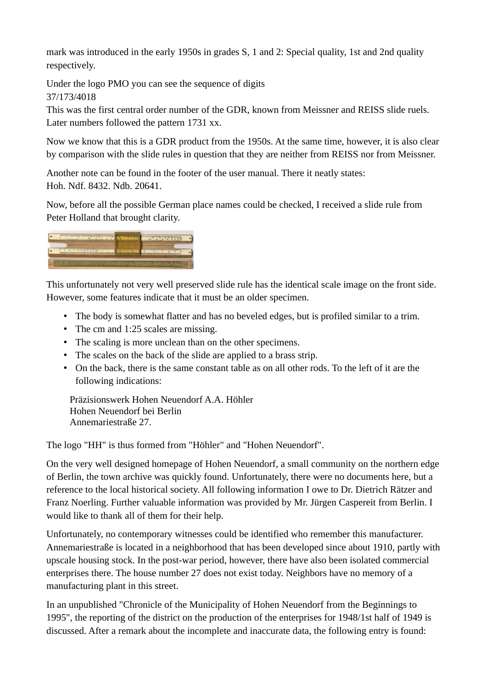mark was introduced in the early 1950s in grades S, 1 and 2: Special quality, 1st and 2nd quality respectively.

Under the logo PMO you can see the sequence of digits 37/173/4018

This was the first central order number of the GDR, known from Meissner and REISS slide ruels. Later numbers followed the pattern 1731 xx.

Now we know that this is a GDR product from the 1950s. At the same time, however, it is also clear by comparison with the slide rules in question that they are neither from REISS nor from Meissner.

Another note can be found in the footer of the user manual. There it neatly states: Hoh. Ndf. 8432. Ndb. 20641.

Now, before all the possible German place names could be checked, I received a slide rule from Peter Holland that brought clarity.



This unfortunately not very well preserved slide rule has the identical scale image on the front side. However, some features indicate that it must be an older specimen.

- The body is somewhat flatter and has no beveled edges, but is profiled similar to a trim.
- The cm and 1:25 scales are missing.
- The scaling is more unclean than on the other specimens.
- The scales on the back of the slide are applied to a brass strip.
- On the back, there is the same constant table as on all other rods. To the left of it are the following indications:

Präzisionswerk Hohen Neuendorf A.A. Höhler Hohen Neuendorf bei Berlin Annemariestraße 27.

The logo "HH" is thus formed from "Höhler" and "Hohen Neuendorf".

On the very well designed homepage of Hohen Neuendorf, a small community on the northern edge of Berlin, the town archive was quickly found. Unfortunately, there were no documents here, but a reference to the local historical society. All following information I owe to Dr. Dietrich Rätzer and Franz Noerling. Further valuable information was provided by Mr. Jürgen Caspereit from Berlin. I would like to thank all of them for their help.

Unfortunately, no contemporary witnesses could be identified who remember this manufacturer. Annemariestraße is located in a neighborhood that has been developed since about 1910, partly with upscale housing stock. In the post-war period, however, there have also been isolated commercial enterprises there. The house number 27 does not exist today. Neighbors have no memory of a manufacturing plant in this street.

In an unpublished "Chronicle of the Municipality of Hohen Neuendorf from the Beginnings to 1995", the reporting of the district on the production of the enterprises for 1948/1st half of 1949 is discussed. After a remark about the incomplete and inaccurate data, the following entry is found: